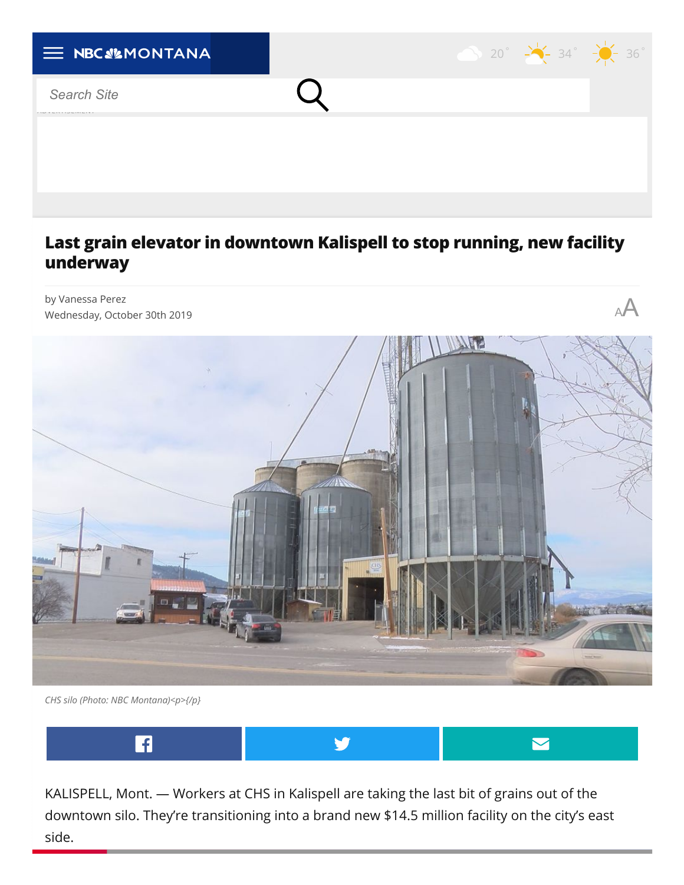

## **Last grain elevator in downtown Kalispell to stop running, new facility underway**



*CHS silo (Photo: NBC Montana)<p>{/p}*



KALISPELL, Mont. — Workers at CHS in Kalispell are taking the last bit of grains out of the downtown silo. They're transitioning into a brand new \$14.5 million facility on the city's east side.